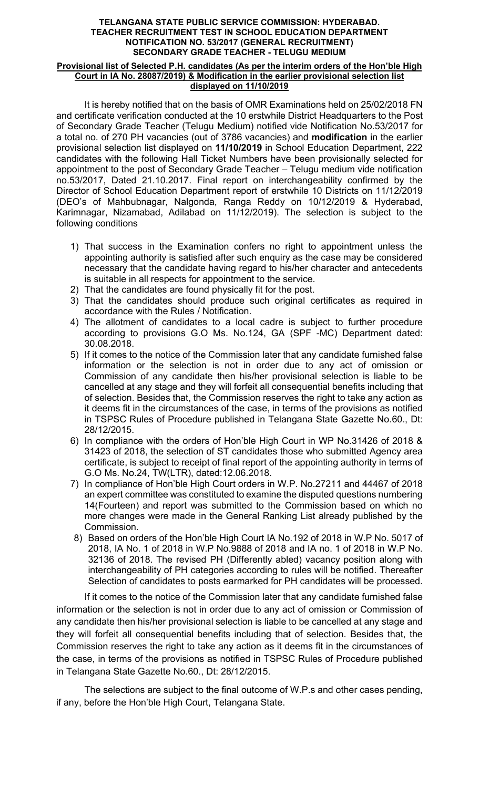## TELANGANA STATE PUBLIC SERVICE COMMISSION: HYDERABAD. TEACHER RECRUITMENT TEST IN SCHOOL EDUCATION DEPARTMENT NOTIFICATION NO. 53/2017 (GENERAL RECRUITMENT) SECONDARY GRADE TEACHER - TELUGU MEDIUM

## Provisional list of Selected P.H. candidates (As per the interim orders of the Hon'ble High Court in IA No. 28087/2019) & Modification in the earlier provisional selection list displayed on 11/10/2019

It is hereby notified that on the basis of OMR Examinations held on 25/02/2018 FN and certificate verification conducted at the 10 erstwhile District Headquarters to the Post of Secondary Grade Teacher (Telugu Medium) notified vide Notification No.53/2017 for a total no. of 270 PH vacancies (out of 3786 vacancies) and modification in the earlier provisional selection list displayed on 11/10/2019 in School Education Department, 222 candidates with the following Hall Ticket Numbers have been provisionally selected for appointment to the post of Secondary Grade Teacher – Telugu medium vide notification no.53/2017, Dated 21.10.2017. Final report on interchangeability confirmed by the Director of School Education Department report of erstwhile 10 Districts on 11/12/2019 (DEO's of Mahbubnagar, Nalgonda, Ranga Reddy on 10/12/2019 & Hyderabad, Karimnagar, Nizamabad, Adilabad on 11/12/2019). The selection is subject to the following conditions

- 1) That success in the Examination confers no right to appointment unless the appointing authority is satisfied after such enquiry as the case may be considered necessary that the candidate having regard to his/her character and antecedents is suitable in all respects for appointment to the service.
- 2) That the candidates are found physically fit for the post.
- 3) That the candidates should produce such original certificates as required in accordance with the Rules / Notification.
- 4) The allotment of candidates to a local cadre is subject to further procedure according to provisions G.O Ms. No.124, GA (SPF -MC) Department dated: 30.08.2018.
- 5) If it comes to the notice of the Commission later that any candidate furnished false information or the selection is not in order due to any act of omission or Commission of any candidate then his/her provisional selection is liable to be cancelled at any stage and they will forfeit all consequential benefits including that of selection. Besides that, the Commission reserves the right to take any action as it deems fit in the circumstances of the case, in terms of the provisions as notified in TSPSC Rules of Procedure published in Telangana State Gazette No.60., Dt: 28/12/2015.
- 6) In compliance with the orders of Hon'ble High Court in WP No.31426 of 2018 & 31423 of 2018, the selection of ST candidates those who submitted Agency area certificate, is subject to receipt of final report of the appointing authority in terms of G.O Ms. No.24, TW(LTR), dated:12.06.2018.
- 7) In compliance of Hon'ble High Court orders in W.P. No.27211 and 44467 of 2018 an expert committee was constituted to examine the disputed questions numbering 14(Fourteen) and report was submitted to the Commission based on which no more changes were made in the General Ranking List already published by the Commission.
- 8) Based on orders of the Hon'ble High Court IA No.192 of 2018 in W.P No. 5017 of 2018, IA No. 1 of 2018 in W.P No.9888 of 2018 and IA no. 1 of 2018 in W.P No. 32136 of 2018. The revised PH (Differently abled) vacancy position along with interchangeability of PH categories according to rules will be notified. Thereafter Selection of candidates to posts earmarked for PH candidates will be processed.

If it comes to the notice of the Commission later that any candidate furnished false information or the selection is not in order due to any act of omission or Commission of any candidate then his/her provisional selection is liable to be cancelled at any stage and they will forfeit all consequential benefits including that of selection. Besides that, the Commission reserves the right to take any action as it deems fit in the circumstances of the case, in terms of the provisions as notified in TSPSC Rules of Procedure published in Telangana State Gazette No.60., Dt: 28/12/2015.

 The selections are subject to the final outcome of W.P.s and other cases pending, if any, before the Hon'ble High Court, Telangana State.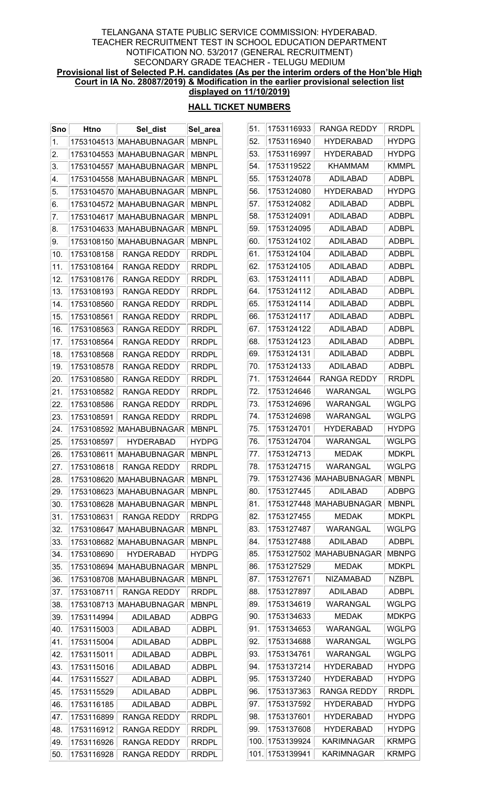### TELANGANA STATE PUBLIC SERVICE COMMISSION: HYDERABAD. TEACHER RECRUITMENT TEST IN SCHOOL EDUCATION DEPARTMENT NOTIFICATION NO. 53/2017 (GENERAL RECRUITMENT) SECONDARY GRADE TEACHER - TELUGU MEDIUM Provisional list of Selected P.H. candidates (As per the interim orders of the Hon'ble High Court in IA No. 28087/2019) & Modification in the earlier provisional selection list displayed on 11/10/2019)

## HALL TICKET NUMBERS

 $\overline{\phantom{0}}$ 

| Sno | <b>Htno</b> | Sel_dist                | Sel_area     | 51.  | 1753116933      | <b>RANGA REDDY</b>        | <b>RRDPL</b> |
|-----|-------------|-------------------------|--------------|------|-----------------|---------------------------|--------------|
| 1.  |             | 1753104513 MAHABUBNAGAR | <b>MBNPL</b> | 52.  | 1753116940      | <b>HYDERABAD</b>          | <b>HYDPG</b> |
| 2.  |             | 1753104553 MAHABUBNAGAR | <b>MBNPL</b> | 53.  | 1753116997      | <b>HYDERABAD</b>          | <b>HYDPG</b> |
| 3.  |             | 1753104557 MAHABUBNAGAR | <b>MBNPL</b> | 54.  | 1753119522      | <b>KHAMMAM</b>            | <b>KMMPL</b> |
| 4.  |             | 1753104558 MAHABUBNAGAR | <b>MBNPL</b> | 55.  | 1753124078      | <b>ADILABAD</b>           | <b>ADBPL</b> |
| 5.  |             | 1753104570 MAHABUBNAGAR | <b>MBNPL</b> | 56.  | 1753124080      | <b>HYDERABAD</b>          | <b>HYDPG</b> |
| 6.  |             | 1753104572 MAHABUBNAGAR | <b>MBNPL</b> | 57.  | 1753124082      | <b>ADILABAD</b>           | <b>ADBPL</b> |
| 7.  |             | 1753104617 MAHABUBNAGAR | <b>MBNPL</b> | 58.  | 1753124091      | <b>ADILABAD</b>           | <b>ADBPL</b> |
| 8.  |             | 1753104633 MAHABUBNAGAR | <b>MBNPL</b> | 59.  | 1753124095      | <b>ADILABAD</b>           | <b>ADBPL</b> |
| 9.  |             | 1753108150 MAHABUBNAGAR | <b>MBNPL</b> | 60.  | 1753124102      | <b>ADILABAD</b>           | <b>ADBPL</b> |
| 10. | 1753108158  | <b>RANGA REDDY</b>      | <b>RRDPL</b> | 61.  | 1753124104      | <b>ADILABAD</b>           | <b>ADBPL</b> |
| 11. | 1753108164  | <b>RANGA REDDY</b>      | <b>RRDPL</b> | 62.  | 1753124105      | <b>ADILABAD</b>           | <b>ADBPL</b> |
| 12. | 1753108176  | <b>RANGA REDDY</b>      | <b>RRDPL</b> | 63.  | 1753124111      | <b>ADILABAD</b>           | <b>ADBPL</b> |
| 13. | 1753108193  | <b>RANGA REDDY</b>      | <b>RRDPL</b> | 64.  | 1753124112      | <b>ADILABAD</b>           | <b>ADBPL</b> |
| 14. | 1753108560  | <b>RANGA REDDY</b>      | <b>RRDPL</b> | 65.  | 1753124114      | <b>ADILABAD</b>           | <b>ADBPL</b> |
| 15. | 1753108561  | <b>RANGA REDDY</b>      | <b>RRDPL</b> | 66.  | 1753124117      | <b>ADILABAD</b>           | <b>ADBPL</b> |
| 16. | 1753108563  | <b>RANGA REDDY</b>      | <b>RRDPL</b> | 67.  | 1753124122      | <b>ADILABAD</b>           | <b>ADBPL</b> |
| 17. | 1753108564  | <b>RANGA REDDY</b>      | <b>RRDPL</b> | 68.  | 1753124123      | <b>ADILABAD</b>           | <b>ADBPL</b> |
| 18. | 1753108568  | <b>RANGA REDDY</b>      | <b>RRDPL</b> | 69.  | 1753124131      | <b>ADILABAD</b>           | <b>ADBPL</b> |
| 19. | 1753108578  | <b>RANGA REDDY</b>      | <b>RRDPL</b> | 70.  | 1753124133      | <b>ADILABAD</b>           | <b>ADBPL</b> |
| 20. | 1753108580  | <b>RANGA REDDY</b>      | <b>RRDPL</b> | 71.  | 1753124644      | <b>RANGA REDDY</b>        | <b>RRDPL</b> |
| 21. | 1753108582  | <b>RANGA REDDY</b>      | <b>RRDPL</b> | 72.  | 1753124646      | WARANGAL                  | <b>WGLPG</b> |
| 22. | 1753108586  | <b>RANGA REDDY</b>      | <b>RRDPL</b> | 73.  | 1753124696      | <b>WARANGAL</b>           | <b>WGLPG</b> |
| 23. | 1753108591  | <b>RANGA REDDY</b>      | <b>RRDPL</b> | 74.  | 1753124698      | WARANGAL                  | <b>WGLPG</b> |
| 24. |             | 1753108592 MAHABUBNAGAR | <b>MBNPL</b> | 75.  | 1753124701      | <b>HYDERABAD</b>          | <b>HYDPG</b> |
| 25. | 1753108597  | <b>HYDERABAD</b>        | <b>HYDPG</b> | 76.  | 1753124704      | <b>WARANGAL</b>           | <b>WGLPG</b> |
| 26. |             | 1753108611 MAHABUBNAGAR | <b>MBNPL</b> | 77.  | 1753124713      | <b>MEDAK</b>              | <b>MDKPL</b> |
| 27. | 1753108618  | <b>RANGA REDDY</b>      | <b>RRDPL</b> | 78.  | 1753124715      | WARANGAL                  | <b>WGLPG</b> |
| 28. |             | 1753108620 MAHABUBNAGAR | <b>MBNPL</b> | 79.  |                 | 1753127436   MAHABUBNAGAR | <b>MBNPL</b> |
| 29. |             | 1753108623 MAHABUBNAGAR | <b>MBNPL</b> | 80.  | 1753127445      | <b>ADILABAD</b>           | <b>ADBPG</b> |
| 30. | 1753108628  | <b>MAHABUBNAGAR</b>     | <b>MBNPL</b> | 81.  |                 | 1753127448 MAHABUBNAGAR   | <b>MBNPL</b> |
| 31. | 1753108631  | <b>RANGA REDDY</b>      | <b>RRDPG</b> | 82.  | 1753127455      | <b>MEDAK</b>              | <b>MDKPL</b> |
| 32. |             | 1753108647 MAHABUBNAGAR | <b>MBNPL</b> | 83.  | 1753127487      | WARANGAL                  | <b>WGLPG</b> |
| 33. |             | 1753108682 MAHABUBNAGAR | <b>MBNPL</b> | 84.  | 1753127488      | <b>ADILABAD</b>           | <b>ADBPL</b> |
| 34. | 1753108690  | <b>HYDERABAD</b>        | <b>HYDPG</b> | 85.  | 1753127502      | MAHABUBNAGAR              | <b>MBNPG</b> |
| 35. |             | 1753108694 MAHABUBNAGAR | <b>MBNPL</b> | 86.  | 1753127529      | <b>MEDAK</b>              | <b>MDKPL</b> |
| 36. | 1753108708  | <b>MAHABUBNAGAR</b>     | <b>MBNPL</b> | 87.  | 1753127671      | <b>NIZAMABAD</b>          | <b>NZBPL</b> |
| 37. | 1753108711  | <b>RANGA REDDY</b>      | <b>RRDPL</b> | 88.  | 1753127897      | <b>ADILABAD</b>           | <b>ADBPL</b> |
| 38. |             | 1753108713 MAHABUBNAGAR | <b>MBNPL</b> | 89.  | 1753134619      | WARANGAL                  | <b>WGLPG</b> |
| 39. | 1753114994  | <b>ADILABAD</b>         | <b>ADBPG</b> | 90.  | 1753134633      | <b>MEDAK</b>              | <b>MDKPG</b> |
| 40. | 1753115003  | <b>ADILABAD</b>         | ADBPL        | 91.  | 1753134653      | <b>WARANGAL</b>           | <b>WGLPG</b> |
| 41. | 1753115004  | ADILABAD                | ADBPL        | 92.  | 1753134688      | WARANGAL                  | <b>WGLPG</b> |
| 42. | 1753115011  | <b>ADILABAD</b>         | <b>ADBPL</b> | 93.  | 1753134761      | <b>WARANGAL</b>           | <b>WGLPG</b> |
| 43. | 1753115016  | <b>ADILABAD</b>         | ADBPL        | 94.  | 1753137214      | <b>HYDERABAD</b>          | <b>HYDPG</b> |
| 44. | 1753115527  | ADILABAD                | ADBPL        | 95.  | 1753137240      | <b>HYDERABAD</b>          | <b>HYDPG</b> |
| 45. | 1753115529  | <b>ADILABAD</b>         | <b>ADBPL</b> | 96.  | 1753137363      | <b>RANGA REDDY</b>        | <b>RRDPL</b> |
| 46. | 1753116185  | <b>ADILABAD</b>         | ADBPL        | 97.  | 1753137592      | <b>HYDERABAD</b>          | <b>HYDPG</b> |
| 47. | 1753116899  | <b>RANGA REDDY</b>      | <b>RRDPL</b> | 98.  | 1753137601      | <b>HYDERABAD</b>          | <b>HYDPG</b> |
| 48. | 1753116912  | RANGA REDDY             | <b>RRDPL</b> | 99.  | 1753137608      | <b>HYDERABAD</b>          | <b>HYDPG</b> |
| 49. | 1753116926  | RANGA REDDY             | <b>RRDPL</b> | 100. | 1753139924      | <b>KARIMNAGAR</b>         | <b>KRMPG</b> |
| 50. | 1753116928  | RANGA REDDY             | <b>RRDPL</b> |      | 101. 1753139941 | <b>KARIMNAGAR</b>         | <b>KRMPG</b> |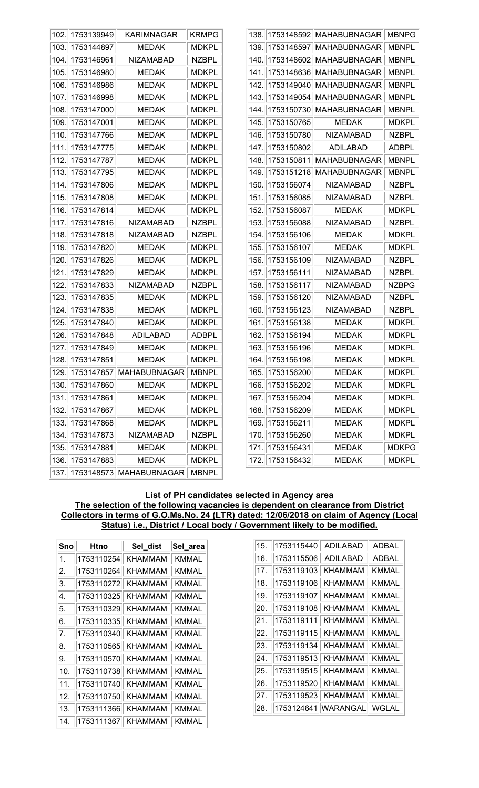| 102. | 1753139949      | KARIMNAGAR                   | <b>KRMPG</b> |      |                 | 138. 1753148592 MAHABUBNAGAR | <b>MBNPG</b> |
|------|-----------------|------------------------------|--------------|------|-----------------|------------------------------|--------------|
| 103. | 1753144897      | <b>MEDAK</b>                 | <b>MDKPL</b> |      | 139. 1753148597 | <b>MAHABUBNAGAR</b>          | <b>MBNPL</b> |
| 104. | 1753146961      | <b>NIZAMABAD</b>             | <b>NZBPL</b> |      | 140. 1753148602 | MAHABUBNAGAR                 | <b>MBNPL</b> |
| 105. | 1753146980      | <b>MEDAK</b>                 | <b>MDKPL</b> |      |                 | 141. 1753148636 MAHABUBNAGAR | <b>MBNPL</b> |
| 106. | 1753146986      | <b>MEDAK</b>                 | <b>MDKPL</b> | 142. |                 | 1753149040 MAHABUBNAGAR      | <b>MBNPL</b> |
| 107. | 1753146998      | <b>MEDAK</b>                 | <b>MDKPL</b> | 143. | 1753149054      | MAHABUBNAGAR                 | <b>MBNPL</b> |
| 108. | 1753147000      | <b>MEDAK</b>                 | <b>MDKPL</b> |      | 144. 1753150730 | <b>MAHABUBNAGAR</b>          | <b>MBNPL</b> |
| 109. | 1753147001      | <b>MEDAK</b>                 | <b>MDKPL</b> | 145. | 1753150765      | <b>MEDAK</b>                 | <b>MDKPL</b> |
| 110. | 1753147766      | <b>MEDAK</b>                 | <b>MDKPL</b> |      | 146. 1753150780 | <b>NIZAMABAD</b>             | <b>NZBPL</b> |
| 111. | 1753147775      | <b>MEDAK</b>                 | <b>MDKPL</b> |      | 147. 1753150802 | <b>ADILABAD</b>              | <b>ADBPL</b> |
| 112. | 1753147787      | <b>MEDAK</b>                 | <b>MDKPL</b> |      | 148. 1753150811 | MAHABUBNAGAR                 | <b>MBNPL</b> |
| 113. | 1753147795      | <b>MEDAK</b>                 | <b>MDKPL</b> |      | 149. 1753151218 | MAHABUBNAGAR                 | <b>MBNPL</b> |
| 114. | 1753147806      | <b>MEDAK</b>                 | <b>MDKPL</b> |      | 150. 1753156074 | <b>NIZAMABAD</b>             | <b>NZBPL</b> |
| 115. | 1753147808      | <b>MEDAK</b>                 | <b>MDKPL</b> |      | 151. 1753156085 | <b>NIZAMABAD</b>             | <b>NZBPL</b> |
| 116. | 1753147814      | <b>MEDAK</b>                 | <b>MDKPL</b> |      | 152. 1753156087 | <b>MEDAK</b>                 | <b>MDKPL</b> |
| 117. | 1753147816      | <b>NIZAMABAD</b>             | <b>NZBPL</b> |      | 153. 1753156088 | <b>NIZAMABAD</b>             | <b>NZBPL</b> |
| 118. | 1753147818      | <b>NIZAMABAD</b>             | <b>NZBPL</b> |      | 154. 1753156106 | <b>MEDAK</b>                 | <b>MDKPL</b> |
| 119. | 1753147820      | <b>MEDAK</b>                 | <b>MDKPL</b> |      | 155. 1753156107 | <b>MEDAK</b>                 | <b>MDKPL</b> |
| 120. | 1753147826      | <b>MEDAK</b>                 | <b>MDKPL</b> |      | 156. 1753156109 | <b>NIZAMABAD</b>             | <b>NZBPL</b> |
| 121. | 1753147829      | <b>MEDAK</b>                 | <b>MDKPL</b> |      | 157. 1753156111 | <b>NIZAMABAD</b>             | <b>NZBPL</b> |
| 122. | 1753147833      | <b>NIZAMABAD</b>             | <b>NZBPL</b> |      | 158. 1753156117 | <b>NIZAMABAD</b>             | <b>NZBPG</b> |
| 123. | 1753147835      | <b>MEDAK</b>                 | <b>MDKPL</b> |      | 159. 1753156120 | <b>NIZAMABAD</b>             | <b>NZBPL</b> |
| 124. | 1753147838      | <b>MEDAK</b>                 | <b>MDKPL</b> |      | 160. 1753156123 | <b>NIZAMABAD</b>             | <b>NZBPL</b> |
| 125. | 1753147840      | <b>MEDAK</b>                 | <b>MDKPL</b> |      | 161. 1753156138 | <b>MEDAK</b>                 | <b>MDKPL</b> |
| 126. | 1753147848      | <b>ADILABAD</b>              | <b>ADBPL</b> | 162. | 1753156194      | <b>MEDAK</b>                 | <b>MDKPL</b> |
| 127. | 1753147849      | <b>MEDAK</b>                 | <b>MDKPL</b> |      | 163. 1753156196 | <b>MEDAK</b>                 | <b>MDKPL</b> |
| 128. | 1753147851      | <b>MEDAK</b>                 | <b>MDKPL</b> |      | 164. 1753156198 | <b>MEDAK</b>                 | <b>MDKPL</b> |
|      |                 | 129. 1753147857 MAHABUBNAGAR | <b>MBNPL</b> |      | 165. 1753156200 | <b>MEDAK</b>                 | <b>MDKPL</b> |
|      | 130. 1753147860 | <b>MEDAK</b>                 | <b>MDKPL</b> |      | 166. 1753156202 | <b>MEDAK</b>                 | <b>MDKPL</b> |
| 131. | 1753147861      | <b>MEDAK</b>                 | <b>MDKPL</b> |      | 167. 1753156204 | <b>MEDAK</b>                 | <b>MDKPL</b> |
| 132. | 1753147867      | MEDAK                        | <b>MDKPL</b> |      | 168. 1753156209 | MEDAK                        | <b>MDKPL</b> |
| 133. | 1753147868      | <b>MEDAK</b>                 | <b>MDKPL</b> |      | 169. 1753156211 | <b>MEDAK</b>                 | <b>MDKPL</b> |
| 134. | 1753147873      | <b>NIZAMABAD</b>             | <b>NZBPL</b> |      | 170. 1753156260 | <b>MEDAK</b>                 | <b>MDKPL</b> |
| 135. | 1753147881      | MEDAK                        | <b>MDKPL</b> |      | 171. 1753156431 | MEDAK                        | <b>MDKPG</b> |
| 136. | 1753147883      | <b>MEDAK</b>                 | <b>MDKPL</b> |      | 172. 1753156432 | <b>MEDAK</b>                 | <b>MDKPL</b> |
|      |                 | 137. 1753148573 MAHABUBNAGAR | <b>MBNPL</b> |      |                 |                              |              |

## List of PH candidates selected in Agency area The selection of the following vacancies is dependent on clearance from District Collectors in terms of G.O.Ms.No. 24 (LTR) dated: 12/06/2018 on claim of Agency (Local Status) i.e., District / Local body / Government likely to be modified.

| Sno             | Htno       | Sel_dist | Sel_area     |
|-----------------|------------|----------|--------------|
| 1.              | 1753110254 | KHAMMAM  | KMMAL        |
| 2.              | 1753110264 | KHAMMAM  | KMMAL        |
| 3.              | 1753110272 | KHAMMAM  | KMMAL        |
| 4.              | 1753110325 | KHAMMAM  | KMMAL        |
| 5.              | 1753110329 | KHAMMAM  | KMMAL        |
| 6.              | 1753110335 | KHAMMAM  | KMMAL        |
| 7 <sub>1</sub>  | 1753110340 | KHAMMAM  | KMMAL        |
| 8.              | 1753110565 | KHAMMAM  | KMMAL        |
| 9.              | 1753110570 | KHAMMAM  | <b>KMMAL</b> |
| 10.             | 1753110738 | KHAMMAM  | KMMAL        |
| 11 <sub>1</sub> | 1753110740 | KHAMMAM  | KMMAL        |
| 12.             | 1753110750 | KHAMMAM  | KMMAL        |
| 13.             | 1753111366 | KHAMMAM  | KMMAL        |
| 14.             | 1753111367 | KHAMMAM  | KMMAL        |

| 15. | 1753115440 | ADILABAD       | <b>ADBAL</b> |
|-----|------------|----------------|--------------|
| 16. | 1753115506 | ADILABAD       | ADBAL        |
| 17. | 1753119103 | KHAMMAM        | KMMAL        |
| 18. | 1753119106 | KHAMMAM        | KMMAL        |
| 19. | 1753119107 | KHAMMAM        | KMMAL        |
| 20. | 1753119108 | KHAMMAM        | KMMAL        |
| 21. | 1753119111 | KHAMMAM        | KMMAL        |
| 22. | 1753119115 | KHAMMAM        | KMMAL        |
| 23. | 1753119134 | KHAMMAM        | KMMAL        |
| 24. | 1753119513 | KHAMMAM        | KMMAL        |
| 25. | 1753119515 | KHAMMAM        | KMMAL        |
| 26. | 1753119520 | KHAMMAM        | KMMAL        |
| 27. | 1753119523 | <b>KHAMMAM</b> | <b>KMMAL</b> |
| 28. | 1753124641 | WARANGAL       | WGLAL        |